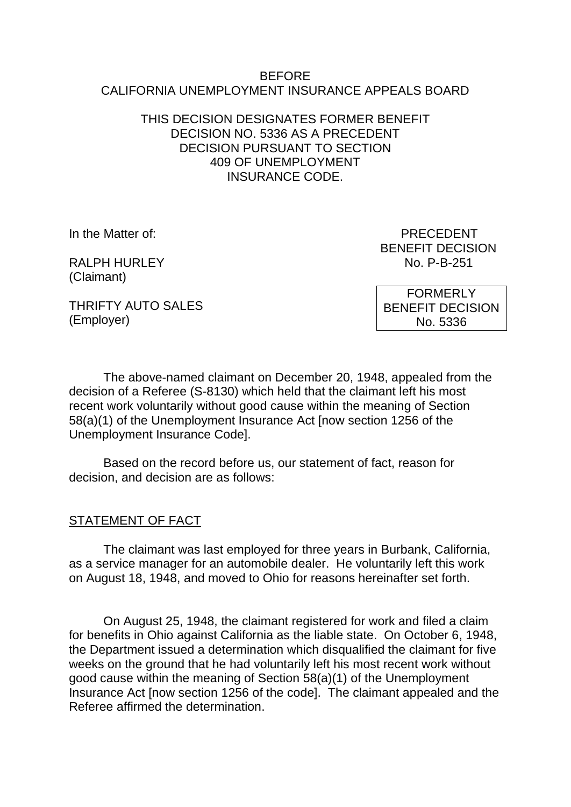#### BEFORE CALIFORNIA UNEMPLOYMENT INSURANCE APPEALS BOARD

### THIS DECISION DESIGNATES FORMER BENEFIT DECISION NO. 5336 AS A PRECEDENT DECISION PURSUANT TO SECTION 409 OF UNEMPLOYMENT INSURANCE CODE.

RALPH HURLEY No. P-B-251 (Claimant)

In the Matter of: PRECEDENT BENEFIT DECISION

THRIFTY AUTO SALES (Employer)

FORMERLY BENEFIT DECISION No. 5336

The above-named claimant on December 20, 1948, appealed from the decision of a Referee (S-8130) which held that the claimant left his most recent work voluntarily without good cause within the meaning of Section 58(a)(1) of the Unemployment Insurance Act [now section 1256 of the Unemployment Insurance Code].

Based on the record before us, our statement of fact, reason for decision, and decision are as follows:

# STATEMENT OF FACT

The claimant was last employed for three years in Burbank, California, as a service manager for an automobile dealer. He voluntarily left this work on August 18, 1948, and moved to Ohio for reasons hereinafter set forth.

On August 25, 1948, the claimant registered for work and filed a claim for benefits in Ohio against California as the liable state. On October 6, 1948, the Department issued a determination which disqualified the claimant for five weeks on the ground that he had voluntarily left his most recent work without good cause within the meaning of Section 58(a)(1) of the Unemployment Insurance Act [now section 1256 of the code]. The claimant appealed and the Referee affirmed the determination.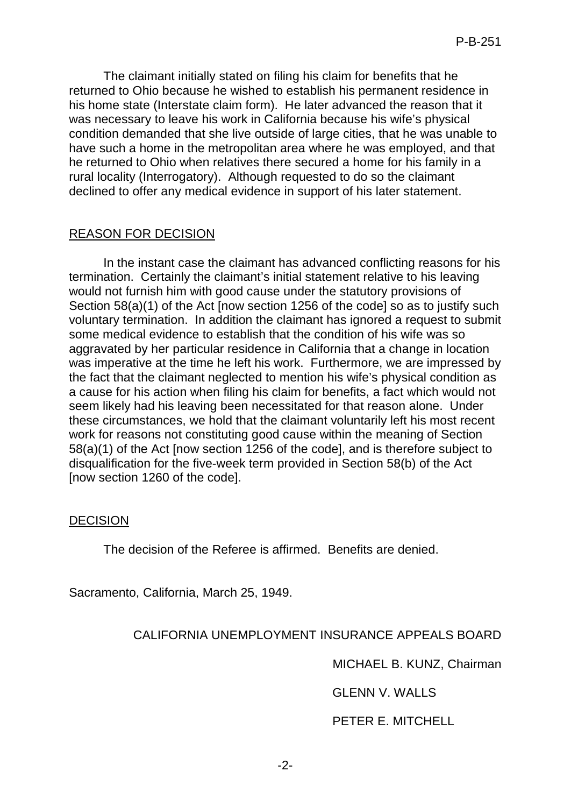The claimant initially stated on filing his claim for benefits that he returned to Ohio because he wished to establish his permanent residence in his home state (Interstate claim form). He later advanced the reason that it was necessary to leave his work in California because his wife's physical condition demanded that she live outside of large cities, that he was unable to have such a home in the metropolitan area where he was employed, and that he returned to Ohio when relatives there secured a home for his family in a rural locality (Interrogatory). Although requested to do so the claimant declined to offer any medical evidence in support of his later statement.

## REASON FOR DECISION

In the instant case the claimant has advanced conflicting reasons for his termination. Certainly the claimant's initial statement relative to his leaving would not furnish him with good cause under the statutory provisions of Section 58(a)(1) of the Act [now section 1256 of the code] so as to justify such voluntary termination. In addition the claimant has ignored a request to submit some medical evidence to establish that the condition of his wife was so aggravated by her particular residence in California that a change in location was imperative at the time he left his work. Furthermore, we are impressed by the fact that the claimant neglected to mention his wife's physical condition as a cause for his action when filing his claim for benefits, a fact which would not seem likely had his leaving been necessitated for that reason alone. Under these circumstances, we hold that the claimant voluntarily left his most recent work for reasons not constituting good cause within the meaning of Section 58(a)(1) of the Act [now section 1256 of the code], and is therefore subject to disqualification for the five-week term provided in Section 58(b) of the Act [now section 1260 of the code].

### DECISION

The decision of the Referee is affirmed. Benefits are denied.

Sacramento, California, March 25, 1949.

# CALIFORNIA UNEMPLOYMENT INSURANCE APPEALS BOARD

MICHAEL B. KUNZ, Chairman

GLENN V. WALLS

PETER E. MITCHELL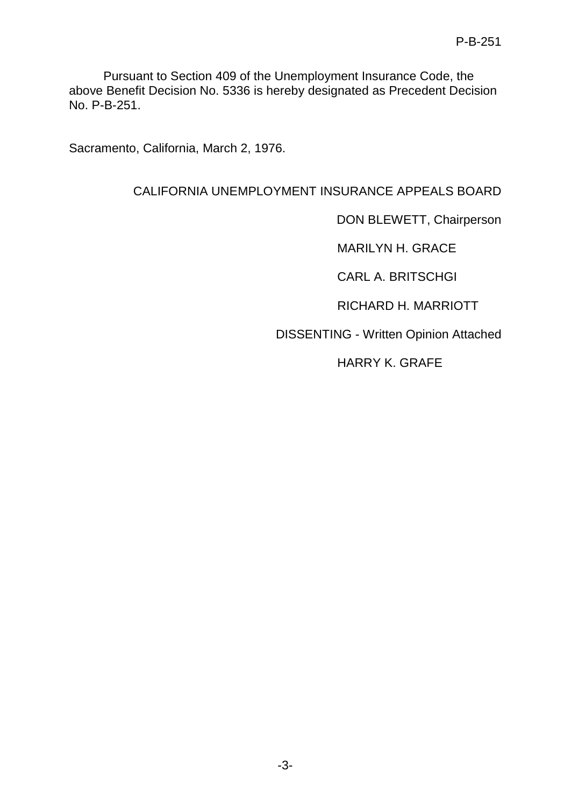Pursuant to Section 409 of the Unemployment Insurance Code, the above Benefit Decision No. 5336 is hereby designated as Precedent Decision No. P-B-251.

Sacramento, California, March 2, 1976.

# CALIFORNIA UNEMPLOYMENT INSURANCE APPEALS BOARD

DON BLEWETT, Chairperson

MARILYN H. GRACE

CARL A. BRITSCHGI

RICHARD H. MARRIOTT

DISSENTING - Written Opinion Attached

HARRY K. GRAFE